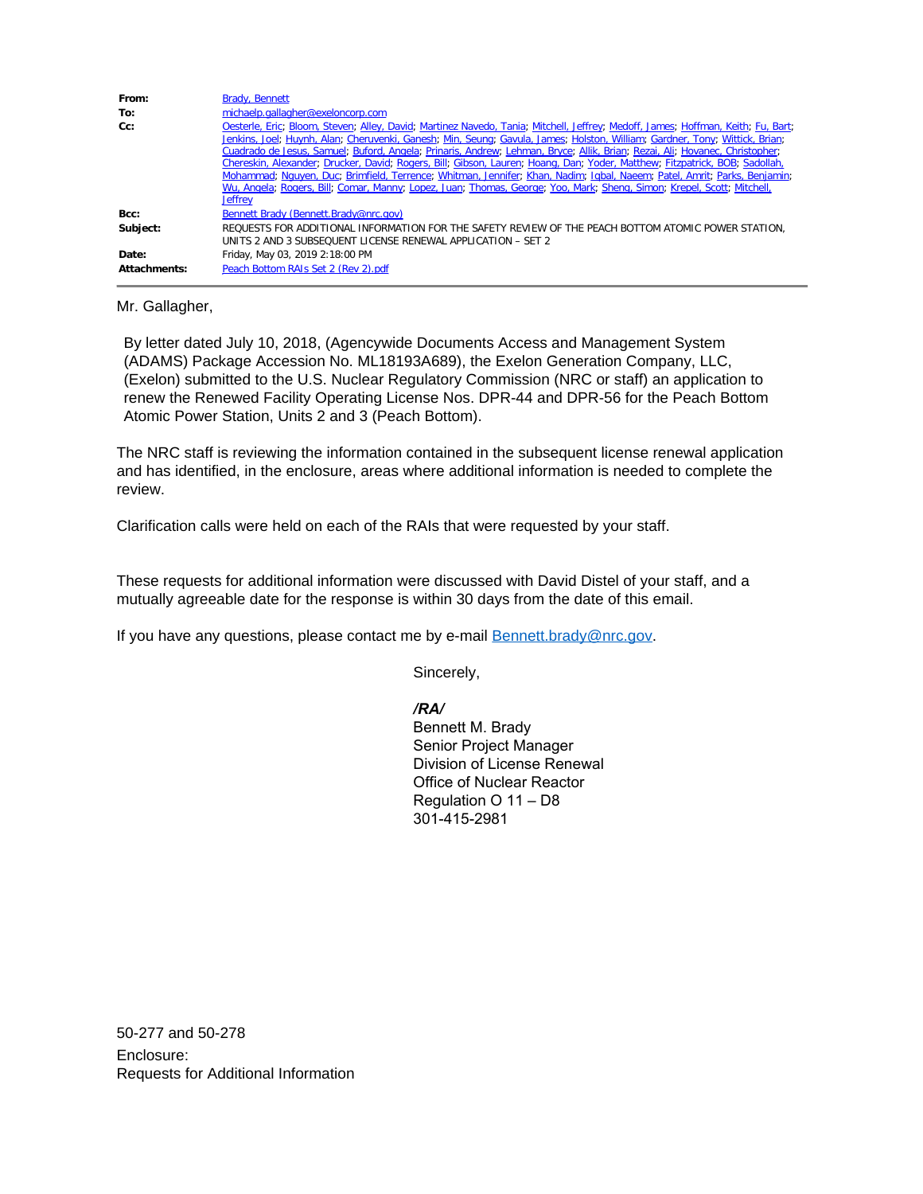| From:        | <b>Brady, Bennett</b>                                                                                                                                                                                                                                                                                                                                                                                                                                                                                                                                                                                                                                                                                                                                                                                 |
|--------------|-------------------------------------------------------------------------------------------------------------------------------------------------------------------------------------------------------------------------------------------------------------------------------------------------------------------------------------------------------------------------------------------------------------------------------------------------------------------------------------------------------------------------------------------------------------------------------------------------------------------------------------------------------------------------------------------------------------------------------------------------------------------------------------------------------|
| To:          | michaelp.gallagher@exeloncorp.com                                                                                                                                                                                                                                                                                                                                                                                                                                                                                                                                                                                                                                                                                                                                                                     |
| $Cc$ :       | Oesterle, Eric, Bloom, Steven, Alley, David, Martinez Navedo, Tania, Mitchell, Jeffrey, Medoff, James, Hoffman, Keith, Fu, Bart,<br>Jenkins, Joel, Huynh, Alan, Cheruvenki, Ganesh, Min, Seung, Gavula, James, Holston, William, Gardner, Tony, Wittick, Brian,<br>Cuadrado de Jesus, Samuel; Buford, Angela; Prinaris, Andrew; Lehman, Bryce; Allik, Brian; Rezai, Ali; Hovanec, Christopher;<br>Chereskin, Alexander, Drucker, David; Rogers, Bill; Gibson, Lauren; Hoang, Dan; Yoder, Matthew; Fitzpatrick, BOB; Sadollah,<br>Mohammad; Nguyen, Duc; Brimfield, Terrence; Whitman, Jennifer; Khan, Nadim; Igbal, Naeem; Patel, Amrit; Parks, Benjamin;<br>Wu, Angela, Rogers, Bill; Comar, Manny; Lopez, Juan; Thomas, George; Yoo, Mark; Sheng, Simon; Krepel, Scott; Mitchell,<br><b>Jeffrey</b> |
| Bcc:         | Bennett Brady (Bennett.Brady@nrc.gov)                                                                                                                                                                                                                                                                                                                                                                                                                                                                                                                                                                                                                                                                                                                                                                 |
| Subject:     | REQUESTS FOR ADDITIONAL INFORMATION FOR THE SAFETY REVIEW OF THE PEACH BOTTOM ATOMIC POWER STATION.<br>UNITS 2 AND 3 SUBSEQUENT LICENSE RENEWAL APPLICATION – SET 2                                                                                                                                                                                                                                                                                                                                                                                                                                                                                                                                                                                                                                   |
| Date:        | Friday, May 03, 2019 2:18:00 PM                                                                                                                                                                                                                                                                                                                                                                                                                                                                                                                                                                                                                                                                                                                                                                       |
| Attachments: | Peach Bottom RAIs Set 2 (Rev 2) odf                                                                                                                                                                                                                                                                                                                                                                                                                                                                                                                                                                                                                                                                                                                                                                   |

Mr. Gallagher,

By letter dated July 10, 2018, (Agencywide Documents Access and Management System (ADAMS) Package Accession No. ML18193A689), the Exelon Generation Company, LLC, (Exelon) submitted to the U.S. Nuclear Regulatory Commission (NRC or staff) an application to renew the Renewed Facility Operating License Nos. DPR-44 and DPR-56 for the Peach Bottom Atomic Power Station, Units 2 and 3 (Peach Bottom).

The NRC staff is reviewing the information contained in the subsequent license renewal application and has identified, in the enclosure, areas where additional information is needed to complete the review.

Clarification calls were held on each of the RAIs that were requested by your staff.

These requests for additional information were discussed with David Distel of your staff, and a mutually agreeable date for the response is within 30 days from the date of this email.

If you have any questions, please contact me by e-mail [Bennett.brady@nrc.gov](mailto:Bennett.brady@nrc.gov).

Sincerely,

*/RA/*

Bennett M. Brady Senior Project Manager Division of License Renewal Office of Nuclear Reactor Regulation O 11 – D8 301-415-2981

50-277 and 50-278 Enclosure: Requests for Additional Information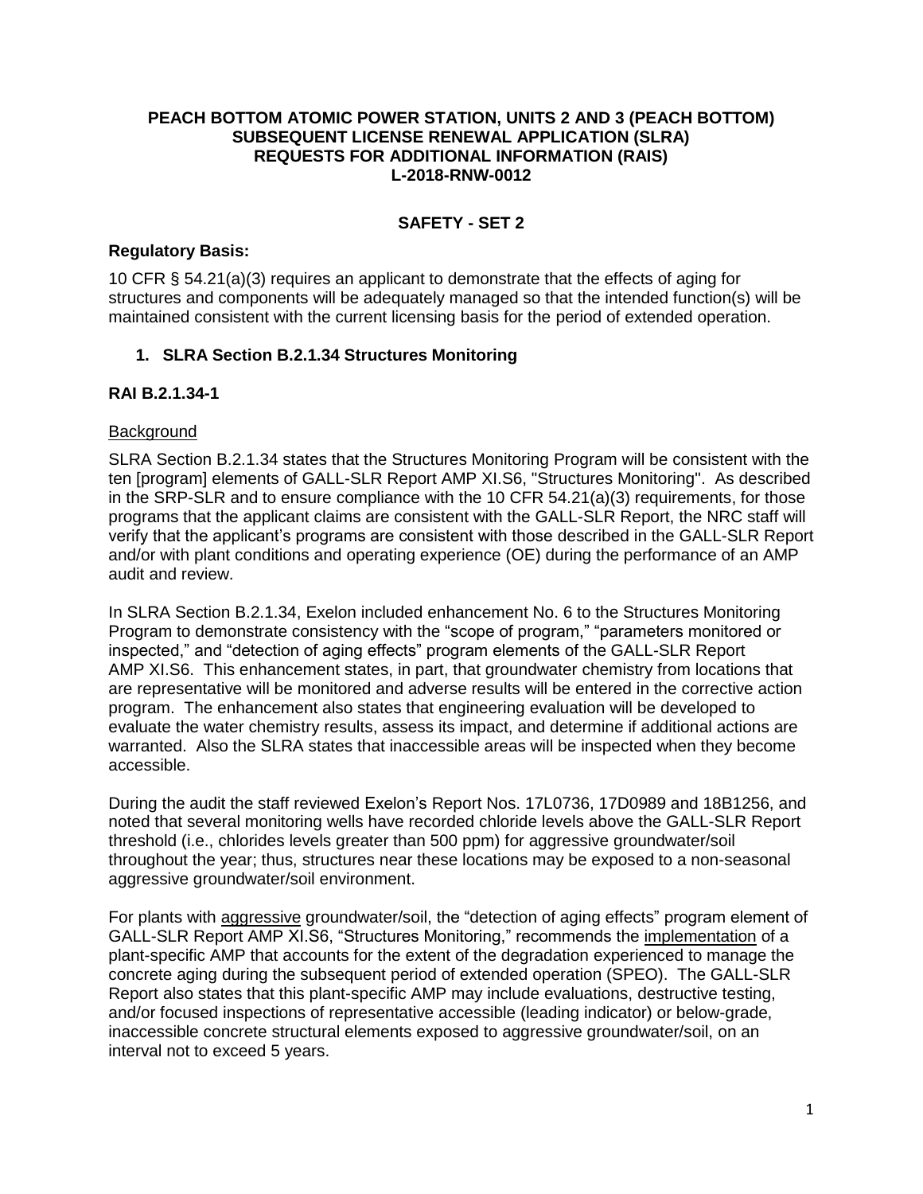### **PEACH BOTTOM ATOMIC POWER STATION, UNITS 2 AND 3 (PEACH BOTTOM) SUBSEQUENT LICENSE RENEWAL APPLICATION (SLRA) REQUESTS FOR ADDITIONAL INFORMATION (RAIS) L-2018-RNW-0012**

## **SAFETY - SET 2**

### **Regulatory Basis:**

10 CFR § 54.21(a)(3) requires an applicant to demonstrate that the effects of aging for structures and components will be adequately managed so that the intended function(s) will be maintained consistent with the current licensing basis for the period of extended operation.

### **1. SLRA Section B.2.1.34 Structures Monitoring**

## **RAI B.2.1.34-1**

### **Background**

SLRA Section B.2.1.34 states that the Structures Monitoring Program will be consistent with the ten [program] elements of GALL-SLR Report AMP XI.S6, "Structures Monitoring". As described in the SRP-SLR and to ensure compliance with the 10 CFR 54.21(a)(3) requirements, for those programs that the applicant claims are consistent with the GALL-SLR Report, the NRC staff will verify that the applicant's programs are consistent with those described in the GALL-SLR Report and/or with plant conditions and operating experience (OE) during the performance of an AMP audit and review.

In SLRA Section B.2.1.34, Exelon included enhancement No. 6 to the Structures Monitoring Program to demonstrate consistency with the "scope of program," "parameters monitored or inspected," and "detection of aging effects" program elements of the GALL-SLR Report AMP XI.S6. This enhancement states, in part, that groundwater chemistry from locations that are representative will be monitored and adverse results will be entered in the corrective action program. The enhancement also states that engineering evaluation will be developed to evaluate the water chemistry results, assess its impact, and determine if additional actions are warranted. Also the SLRA states that inaccessible areas will be inspected when they become accessible.

During the audit the staff reviewed Exelon's Report Nos. 17L0736, 17D0989 and 18B1256, and noted that several monitoring wells have recorded chloride levels above the GALL-SLR Report threshold (i.e., chlorides levels greater than 500 ppm) for aggressive groundwater/soil throughout the year; thus, structures near these locations may be exposed to a non-seasonal aggressive groundwater/soil environment.

For plants with aggressive groundwater/soil, the "detection of aging effects" program element of GALL-SLR Report AMP XI.S6, "Structures Monitoring," recommends the implementation of a plant-specific AMP that accounts for the extent of the degradation experienced to manage the concrete aging during the subsequent period of extended operation (SPEO). The GALL-SLR Report also states that this plant-specific AMP may include evaluations, destructive testing, and/or focused inspections of representative accessible (leading indicator) or below-grade, inaccessible concrete structural elements exposed to aggressive groundwater/soil, on an interval not to exceed 5 years.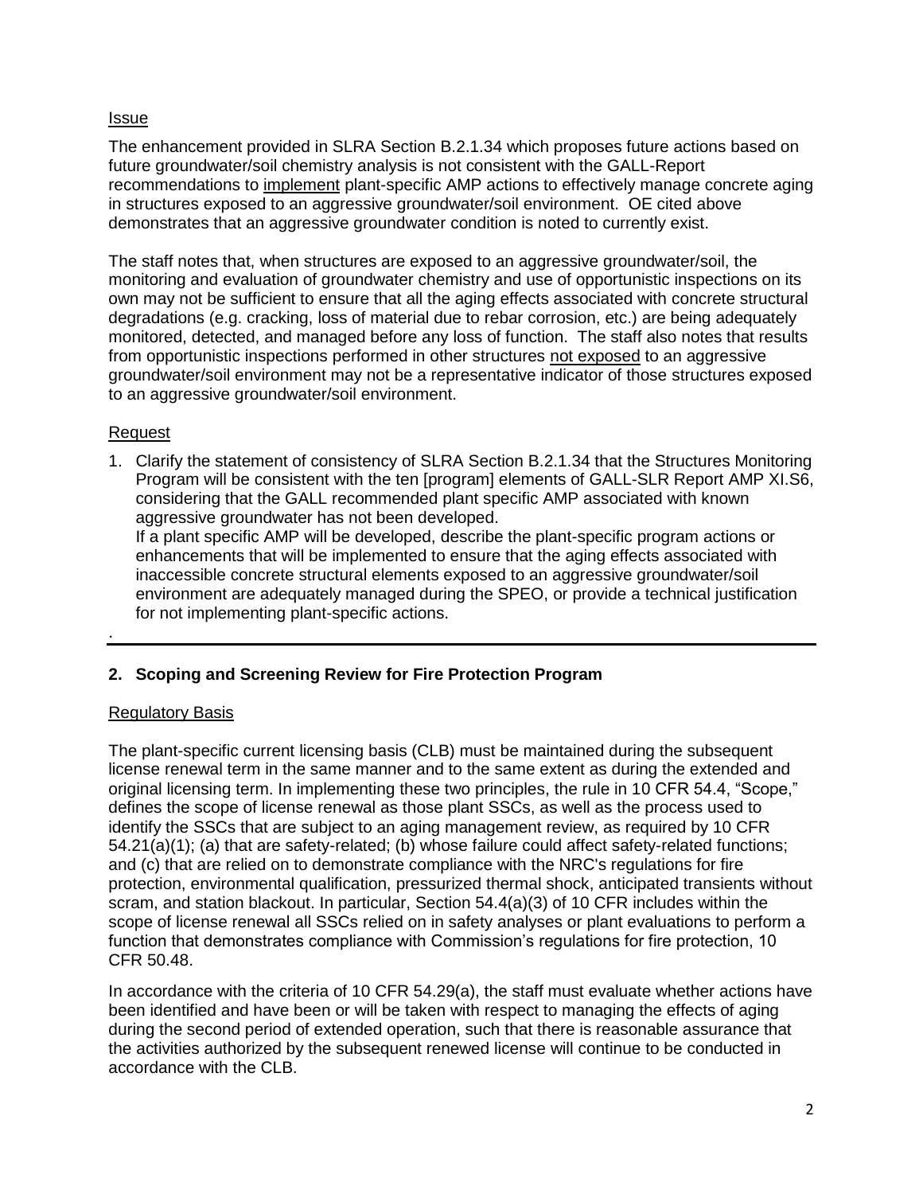### Issue

The enhancement provided in SLRA Section B.2.1.34 which proposes future actions based on future groundwater/soil chemistry analysis is not consistent with the GALL-Report recommendations to implement plant-specific AMP actions to effectively manage concrete aging in structures exposed to an aggressive groundwater/soil environment. OE cited above demonstrates that an aggressive groundwater condition is noted to currently exist.

The staff notes that, when structures are exposed to an aggressive groundwater/soil, the monitoring and evaluation of groundwater chemistry and use of opportunistic inspections on its own may not be sufficient to ensure that all the aging effects associated with concrete structural degradations (e.g. cracking, loss of material due to rebar corrosion, etc.) are being adequately monitored, detected, and managed before any loss of function. The staff also notes that results from opportunistic inspections performed in other structures not exposed to an aggressive groundwater/soil environment may not be a representative indicator of those structures exposed to an aggressive groundwater/soil environment.

### Request

.

1. Clarify the statement of consistency of SLRA Section B.2.1.34 that the Structures Monitoring Program will be consistent with the ten [program] elements of GALL-SLR Report AMP XI.S6, considering that the GALL recommended plant specific AMP associated with known aggressive groundwater has not been developed.

If a plant specific AMP will be developed, describe the plant-specific program actions or enhancements that will be implemented to ensure that the aging effects associated with inaccessible concrete structural elements exposed to an aggressive groundwater/soil environment are adequately managed during the SPEO, or provide a technical justification for not implementing plant-specific actions.

### **2. Scoping and Screening Review for Fire Protection Program**

### Regulatory Basis

The plant-specific current licensing basis (CLB) must be maintained during the subsequent license renewal term in the same manner and to the same extent as during the extended and original licensing term. In implementing these two principles, the rule in 10 CFR 54.4, "Scope," defines the scope of license renewal as those plant SSCs, as well as the process used to identify the SSCs that are subject to an aging management review, as required by 10 CFR 54.21(a)(1); (a) that are safety-related; (b) whose failure could affect safety-related functions; and (c) that are relied on to demonstrate compliance with the NRC's regulations for fire protection, environmental qualification, pressurized thermal shock, anticipated transients without scram, and station blackout. In particular, Section 54.4(a)(3) of 10 CFR includes within the scope of license renewal all SSCs relied on in safety analyses or plant evaluations to perform a function that demonstrates compliance with Commission's regulations for fire protection, 10 CFR 50.48.

In accordance with the criteria of 10 CFR 54.29(a), the staff must evaluate whether actions have been identified and have been or will be taken with respect to managing the effects of aging during the second period of extended operation, such that there is reasonable assurance that the activities authorized by the subsequent renewed license will continue to be conducted in accordance with the CLB.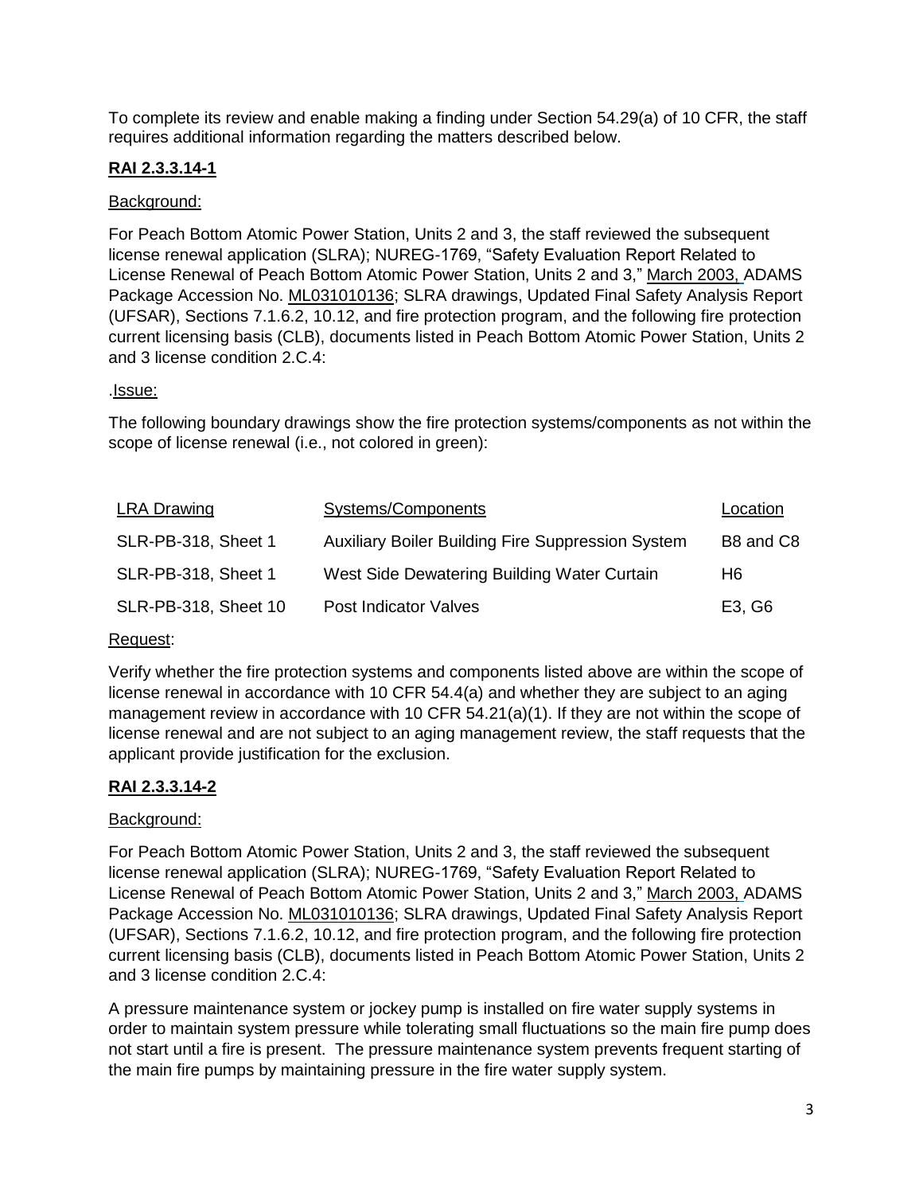To complete its review and enable making a finding under Section 54.29(a) of 10 CFR, the staff requires additional information regarding the matters described below.

# **RAI 2.3.3.14-1**

## Background:

For Peach Bottom Atomic Power Station, Units 2 and 3, the staff reviewed the subsequent license renewal application (SLRA); NUREG-1769, "Safety Evaluation Report Related to License Renewal of Peach Bottom Atomic Power Station, Units 2 and 3," March 2003, ADAMS Package Accession No. ML031010136; SLRA drawings, Updated Final Safety Analysis Report (UFSAR), Sections 7.1.6.2, 10.12, and fire protection program, and the following fire protection current licensing basis (CLB), documents listed in Peach Bottom Atomic Power Station, Units 2 and 3 license condition 2.C.4:

### .*Issue:*

The following boundary drawings show the fire protection systems/components as not within the scope of license renewal (i.e., not colored in green):

| Systems/Components                                       | Location  |
|----------------------------------------------------------|-----------|
| <b>Auxiliary Boiler Building Fire Suppression System</b> | B8 and C8 |
| West Side Dewatering Building Water Curtain              | H6        |
| <b>Post Indicator Valves</b>                             | E3, G6    |
|                                                          |           |

### Request:

Verify whether the fire protection systems and components listed above are within the scope of license renewal in accordance with 10 CFR 54.4(a) and whether they are subject to an aging management review in accordance with 10 CFR 54.21(a)(1). If they are not within the scope of license renewal and are not subject to an aging management review, the staff requests that the applicant provide justification for the exclusion.

## **RAI 2.3.3.14-2**

## Background:

For Peach Bottom Atomic Power Station, Units 2 and 3, the staff reviewed the subsequent license renewal application (SLRA); NUREG-1769, "Safety Evaluation Report Related to License Renewal of Peach Bottom Atomic Power Station, Units 2 and 3," March 2003, ADAMS Package Accession No. ML031010136; SLRA drawings, Updated Final Safety Analysis Report (UFSAR), Sections 7.1.6.2, 10.12, and fire protection program, and the following fire protection current licensing basis (CLB), documents listed in Peach Bottom Atomic Power Station, Units 2 and 3 license condition 2.C.4:

A pressure maintenance system or jockey pump is installed on fire water supply systems in order to maintain system pressure while tolerating small fluctuations so the main fire pump does not start until a fire is present. The pressure maintenance system prevents frequent starting of the main fire pumps by maintaining pressure in the fire water supply system.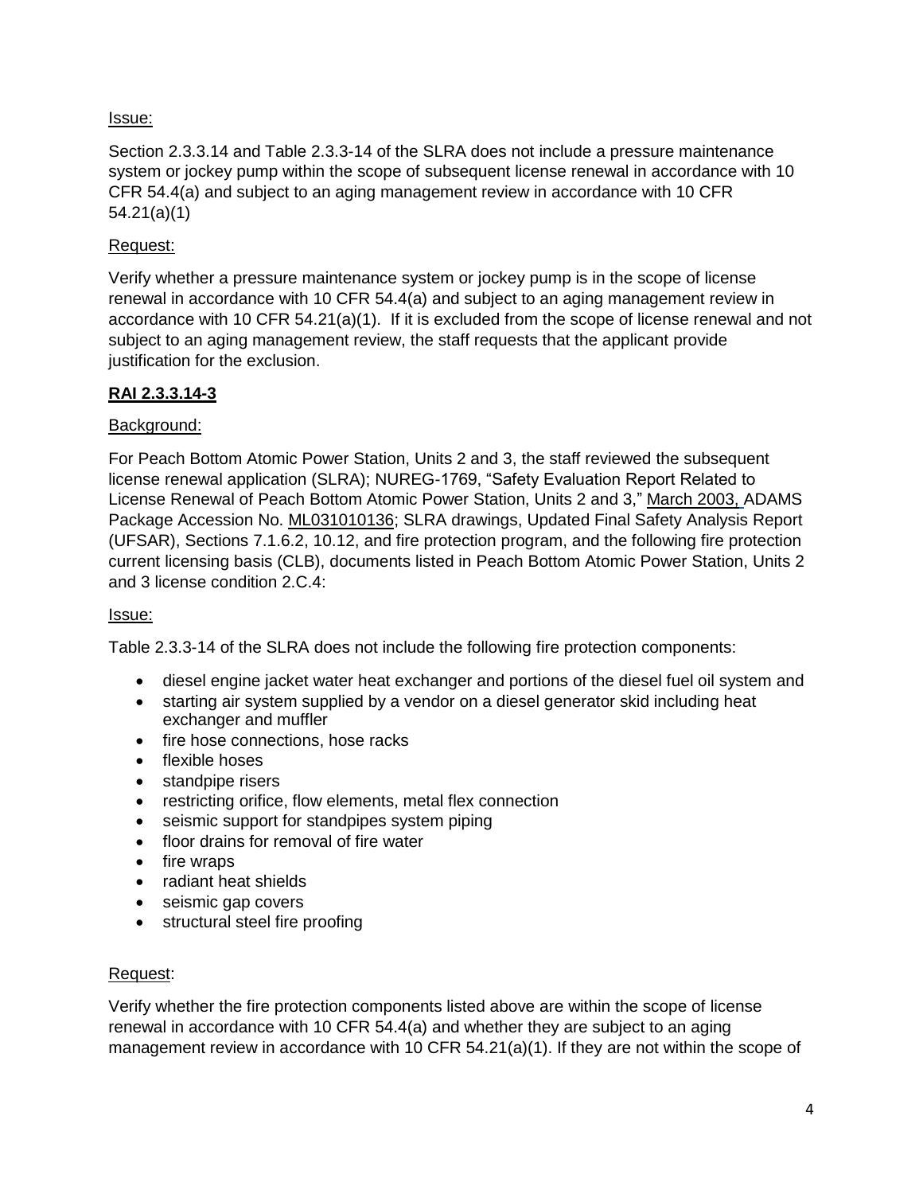## Issue:

Section 2.3.3.14 and Table 2.3.3-14 of the SLRA does not include a pressure maintenance system or jockey pump within the scope of subsequent license renewal in accordance with 10 CFR 54.4(a) and subject to an aging management review in accordance with 10 CFR 54.21(a)(1)

### Request:

Verify whether a pressure maintenance system or jockey pump is in the scope of license renewal in accordance with 10 CFR 54.4(a) and subject to an aging management review in accordance with 10 CFR 54.21(a)(1). If it is excluded from the scope of license renewal and not subject to an aging management review, the staff requests that the applicant provide justification for the exclusion.

## **RAI 2.3.3.14-3**

### Background:

For Peach Bottom Atomic Power Station, Units 2 and 3, the staff reviewed the subsequent license renewal application (SLRA); NUREG-1769, "Safety Evaluation Report Related to License Renewal of Peach Bottom Atomic Power Station, Units 2 and 3," March 2003, ADAMS Package Accession No. ML031010136; SLRA drawings, Updated Final Safety Analysis Report (UFSAR), Sections 7.1.6.2, 10.12, and fire protection program, and the following fire protection current licensing basis (CLB), documents listed in Peach Bottom Atomic Power Station, Units 2 and 3 license condition 2.C.4:

### Issue:

Table 2.3.3-14 of the SLRA does not include the following fire protection components:

- diesel engine jacket water heat exchanger and portions of the diesel fuel oil system and
- starting air system supplied by a vendor on a diesel generator skid including heat exchanger and muffler
- fire hose connections, hose racks
- flexible hoses
- standpipe risers
- restricting orifice, flow elements, metal flex connection
- seismic support for standpipes system piping
- floor drains for removal of fire water
- fire wraps
- radiant heat shields
- seismic gap covers
- structural steel fire proofing

### Request:

Verify whether the fire protection components listed above are within the scope of license renewal in accordance with 10 CFR 54.4(a) and whether they are subject to an aging management review in accordance with 10 CFR  $54.21(a)(1)$ . If they are not within the scope of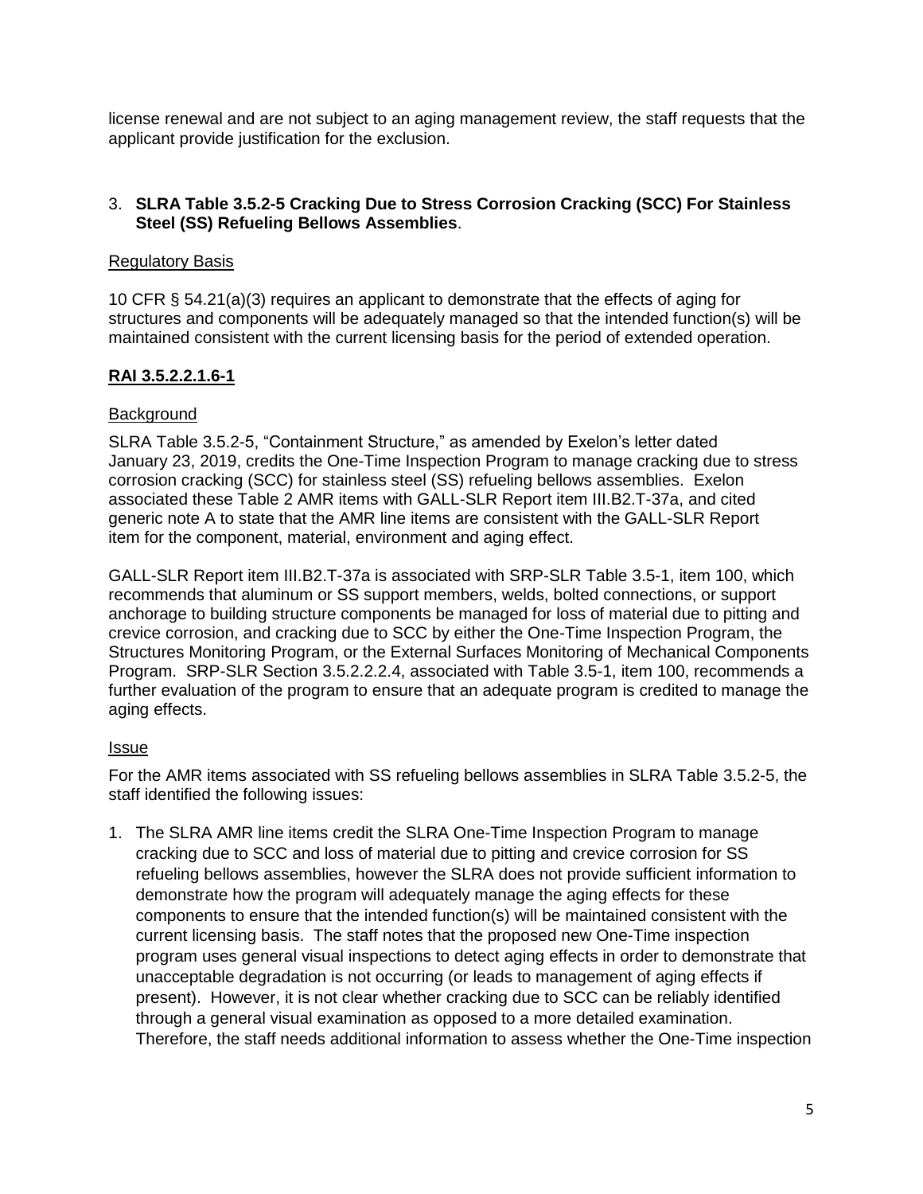license renewal and are not subject to an aging management review, the staff requests that the applicant provide justification for the exclusion.

## 3. **SLRA Table 3.5.2-5 Cracking Due to Stress Corrosion Cracking (SCC) For Stainless Steel (SS) Refueling Bellows Assemblies**.

### Regulatory Basis

10 CFR § 54.21(a)(3) requires an applicant to demonstrate that the effects of aging for structures and components will be adequately managed so that the intended function(s) will be maintained consistent with the current licensing basis for the period of extended operation.

## **RAI 3.5.2.2.1.6-1**

## **Background**

SLRA Table 3.5.2-5, "Containment Structure," as amended by Exelon's letter dated January 23, 2019, credits the One-Time Inspection Program to manage cracking due to stress corrosion cracking (SCC) for stainless steel (SS) refueling bellows assemblies. Exelon associated these Table 2 AMR items with GALL-SLR Report item III.B2.T-37a, and cited generic note A to state that the AMR line items are consistent with the GALL-SLR Report item for the component, material, environment and aging effect.

GALL-SLR Report item III.B2.T-37a is associated with SRP-SLR Table 3.5-1, item 100, which recommends that aluminum or SS support members, welds, bolted connections, or support anchorage to building structure components be managed for loss of material due to pitting and crevice corrosion, and cracking due to SCC by either the One-Time Inspection Program, the Structures Monitoring Program, or the External Surfaces Monitoring of Mechanical Components Program. SRP-SLR Section 3.5.2.2.2.4, associated with Table 3.5-1, item 100, recommends a further evaluation of the program to ensure that an adequate program is credited to manage the aging effects.

### Issue

For the AMR items associated with SS refueling bellows assemblies in SLRA Table 3.5.2-5, the staff identified the following issues:

1. The SLRA AMR line items credit the SLRA One-Time Inspection Program to manage cracking due to SCC and loss of material due to pitting and crevice corrosion for SS refueling bellows assemblies, however the SLRA does not provide sufficient information to demonstrate how the program will adequately manage the aging effects for these components to ensure that the intended function(s) will be maintained consistent with the current licensing basis. The staff notes that the proposed new One-Time inspection program uses general visual inspections to detect aging effects in order to demonstrate that unacceptable degradation is not occurring (or leads to management of aging effects if present). However, it is not clear whether cracking due to SCC can be reliably identified through a general visual examination as opposed to a more detailed examination. Therefore, the staff needs additional information to assess whether the One-Time inspection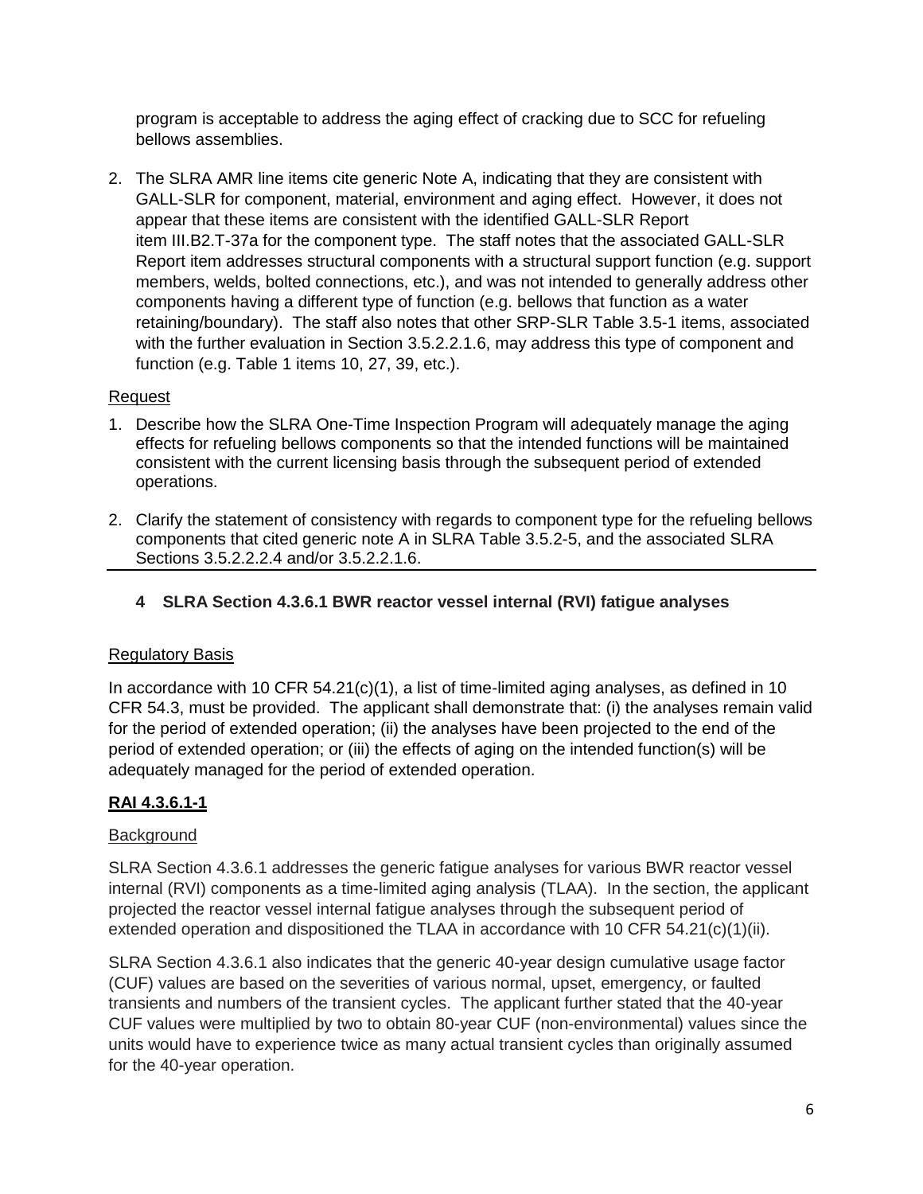program is acceptable to address the aging effect of cracking due to SCC for refueling bellows assemblies.

2. The SLRA AMR line items cite generic Note A, indicating that they are consistent with GALL-SLR for component, material, environment and aging effect. However, it does not appear that these items are consistent with the identified GALL-SLR Report item III.B2.T-37a for the component type. The staff notes that the associated GALL-SLR Report item addresses structural components with a structural support function (e.g. support members, welds, bolted connections, etc.), and was not intended to generally address other components having a different type of function (e.g. bellows that function as a water retaining/boundary). The staff also notes that other SRP-SLR Table 3.5-1 items, associated with the further evaluation in Section 3.5.2.2.1.6, may address this type of component and function (e.g. Table 1 items 10, 27, 39, etc.).

## Request

- 1. Describe how the SLRA One-Time Inspection Program will adequately manage the aging effects for refueling bellows components so that the intended functions will be maintained consistent with the current licensing basis through the subsequent period of extended operations.
- 2. Clarify the statement of consistency with regards to component type for the refueling bellows components that cited generic note A in SLRA Table 3.5.2-5, and the associated SLRA Sections 3.5.2.2.2.4 and/or 3.5.2.2.1.6.
	- **4 SLRA Section 4.3.6.1 BWR reactor vessel internal (RVI) fatigue analyses**

## Regulatory Basis

In accordance with 10 CFR 54.21(c)(1), a list of time-limited aging analyses, as defined in 10 CFR 54.3, must be provided. The applicant shall demonstrate that: (i) the analyses remain valid for the period of extended operation; (ii) the analyses have been projected to the end of the period of extended operation; or (iii) the effects of aging on the intended function(s) will be adequately managed for the period of extended operation.

# **RAI 4.3.6.1-1**

## **Background**

SLRA Section 4.3.6.1 addresses the generic fatigue analyses for various BWR reactor vessel internal (RVI) components as a time-limited aging analysis (TLAA). In the section, the applicant projected the reactor vessel internal fatigue analyses through the subsequent period of extended operation and dispositioned the TLAA in accordance with 10 CFR 54.21(c)(1)(ii).

SLRA Section 4.3.6.1 also indicates that the generic 40-year design cumulative usage factor (CUF) values are based on the severities of various normal, upset, emergency, or faulted transients and numbers of the transient cycles. The applicant further stated that the 40-year CUF values were multiplied by two to obtain 80-year CUF (non-environmental) values since the units would have to experience twice as many actual transient cycles than originally assumed for the 40-year operation.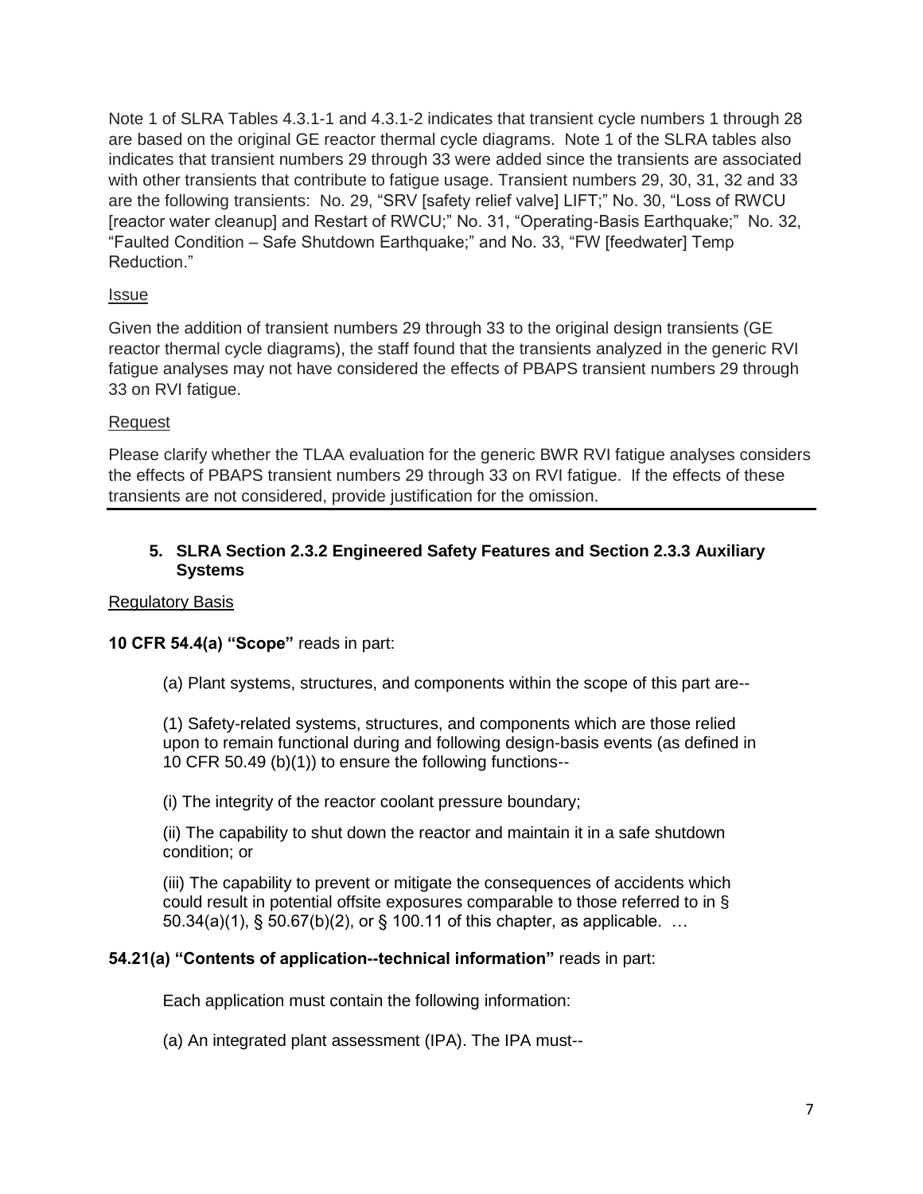Note 1 of SLRA Tables 4.3.1-1 and 4.3.1-2 indicates that transient cycle numbers 1 through 28 are based on the original GE reactor thermal cycle diagrams. Note 1 of the SLRA tables also indicates that transient numbers 29 through 33 were added since the transients are associated with other transients that contribute to fatigue usage. Transient numbers 29, 30, 31, 32 and 33 are the following transients: No. 29, "SRV [safety relief valve] LIFT;" No. 30, "Loss of RWCU [reactor water cleanup] and Restart of RWCU;" No. 31, "Operating-Basis Earthquake;" No. 32, "Faulted Condition – Safe Shutdown Earthquake;" and No. 33, "FW [feedwater] Temp Reduction."

## Issue

Given the addition of transient numbers 29 through 33 to the original design transients (GE reactor thermal cycle diagrams), the staff found that the transients analyzed in the generic RVI fatigue analyses may not have considered the effects of PBAPS transient numbers 29 through 33 on RVI fatigue.

## Request

Please clarify whether the TLAA evaluation for the generic BWR RVI fatigue analyses considers the effects of PBAPS transient numbers 29 through 33 on RVI fatigue. If the effects of these transients are not considered, provide justification for the omission.

## **5. SLRA Section 2.3.2 Engineered Safety Features and Section 2.3.3 Auxiliary Systems**

### Regulatory Basis

## **10 CFR 54.4(a) "Scope"** reads in part:

(a) Plant systems, structures, and components within the scope of this part are--

(1) Safety-related systems, structures, and components which are those relied upon to remain functional during and following design-basis events (as defined in 10 CFR 50.49 (b)(1)) to ensure the following functions--

(i) The integrity of the reactor coolant pressure boundary;

(ii) The capability to shut down the reactor and maintain it in a safe shutdown condition; or

(iii) The capability to prevent or mitigate the consequences of accidents which could result in potential offsite exposures comparable to those referred to in § 50.34(a)(1), § 50.67(b)(2), or § 100.11 of this chapter, as applicable. …

### **54.21(a) "Contents of application--technical information"** reads in part:

Each application must contain the following information:

(a) An integrated plant assessment (IPA). The IPA must--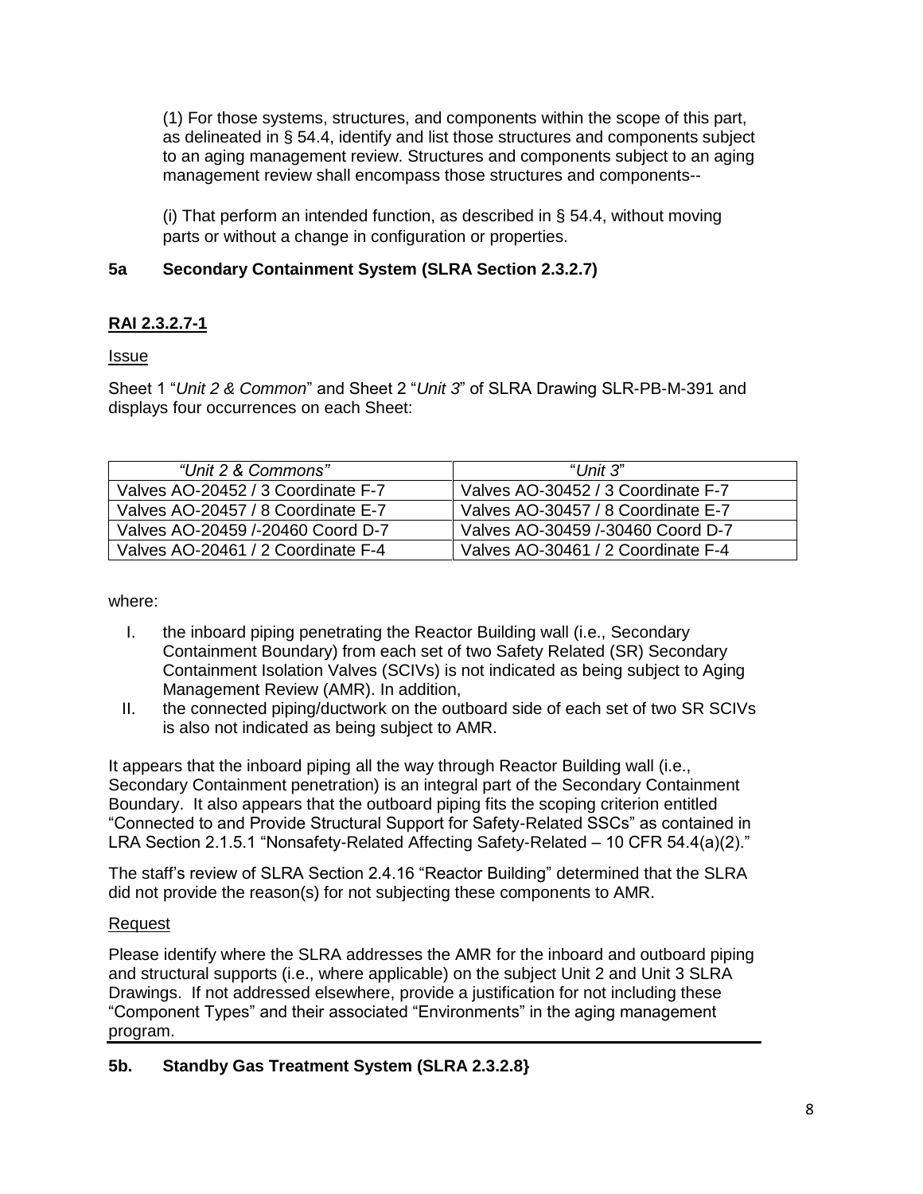(1) For those systems, structures, and components within the scope of this part, as delineated in § 54.4, identify and list those structures and components subject to an aging management review. Structures and components subject to an aging management review shall encompass those structures and components--

(i) That perform an intended function, as described in § 54.4, without moving parts or without a change in configuration or properties.

# **5a Secondary Containment System (SLRA Section 2.3.2.7)**

# **RAI 2.3.2.7-1**

# Issue

Sheet 1 "*Unit 2 & Common*" and Sheet 2 "*Unit 3*" of SLRA Drawing SLR-PB-M-391 and displays four occurrences on each Sheet:

| "Unit 2 & Commons"                 | " $l$ Jnit $3$ "                   |
|------------------------------------|------------------------------------|
| Valves AO-20452 / 3 Coordinate F-7 | Valves AO-30452 / 3 Coordinate F-7 |
| Valves AO-20457 / 8 Coordinate E-7 | Valves AO-30457 / 8 Coordinate E-7 |
| Valves AO-20459 /-20460 Coord D-7  | Valves AO-30459 /-30460 Coord D-7  |
| Valves AO-20461 / 2 Coordinate F-4 | Valves AO-30461 / 2 Coordinate F-4 |

# where:

- I. the inboard piping penetrating the Reactor Building wall (i.e., Secondary Containment Boundary) from each set of two Safety Related (SR) Secondary Containment Isolation Valves (SCIVs) is not indicated as being subject to Aging Management Review (AMR). In addition,
- II. the connected piping/ductwork on the outboard side of each set of two SR SCIVs is also not indicated as being subject to AMR.

It appears that the inboard piping all the way through Reactor Building wall (i.e., Secondary Containment penetration) is an integral part of the Secondary Containment Boundary. It also appears that the outboard piping fits the scoping criterion entitled "Connected to and Provide Structural Support for Safety-Related SSCs" as contained in LRA Section 2.1.5.1 "Nonsafety-Related Affecting Safety-Related – 10 CFR 54.4(a)(2)."

The staff's review of SLRA Section 2.4.16 "Reactor Building" determined that the SLRA did not provide the reason(s) for not subjecting these components to AMR.

# Request

Please identify where the SLRA addresses the AMR for the inboard and outboard piping and structural supports (i.e., where applicable) on the subject Unit 2 and Unit 3 SLRA Drawings. If not addressed elsewhere, provide a justification for not including these "Component Types" and their associated "Environments" in the aging management program.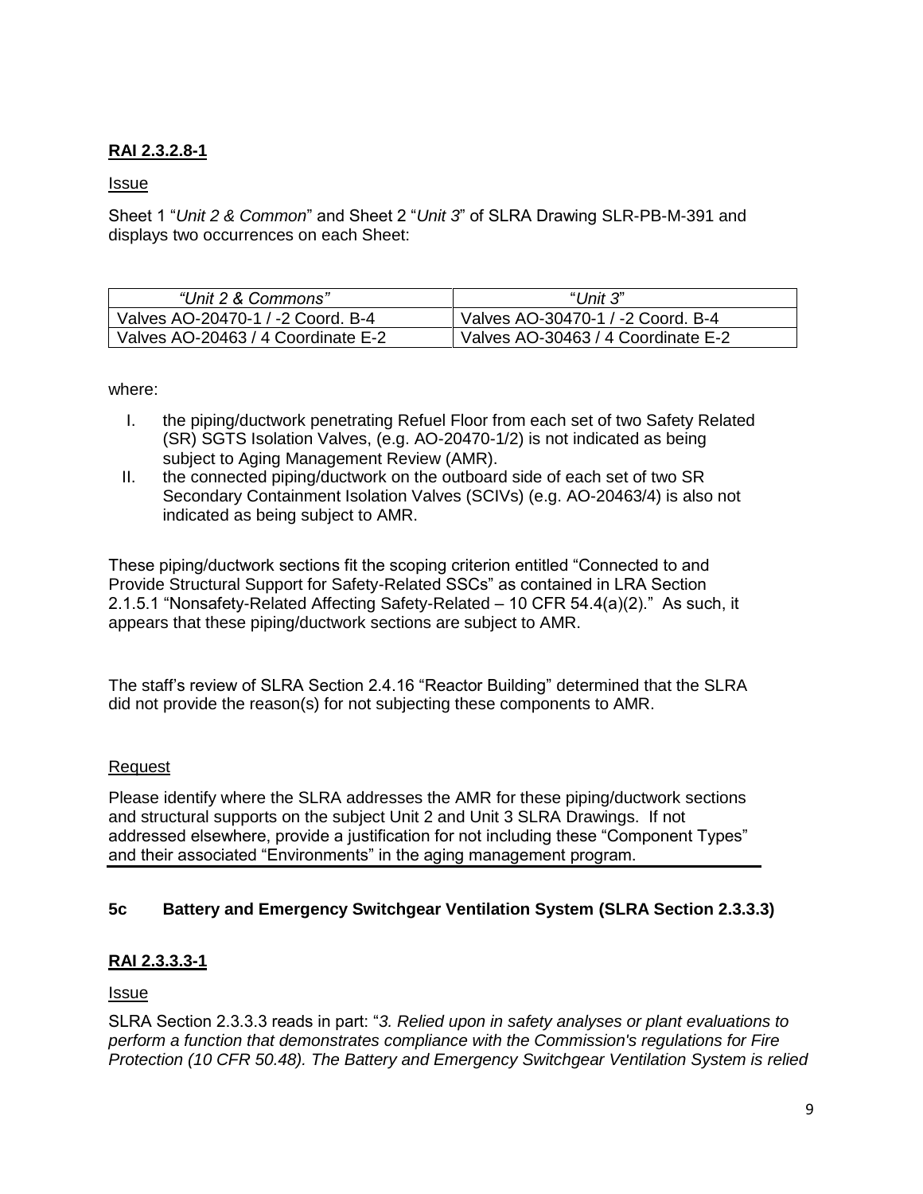# **RAI 2.3.2.8-1**

### Issue

Sheet 1 "*Unit 2 & Common*" and Sheet 2 "*Unit 3*" of SLRA Drawing SLR-PB-M-391 and displays two occurrences on each Sheet:

| "Unit 2 & Commons"                 | "Unit $3$ "                        |
|------------------------------------|------------------------------------|
| Valves AO-20470-1 / -2 Coord. B-4  | Valves AO-30470-1 / -2 Coord. B-4  |
| Valves AO-20463 / 4 Coordinate E-2 | Valves AO-30463 / 4 Coordinate E-2 |

where:

- I. the piping/ductwork penetrating Refuel Floor from each set of two Safety Related (SR) SGTS Isolation Valves, (e.g. AO-20470-1/2) is not indicated as being subject to Aging Management Review (AMR).
- II. the connected piping/ductwork on the outboard side of each set of two SR Secondary Containment Isolation Valves (SCIVs) (e.g. AO-20463/4) is also not indicated as being subject to AMR.

These piping/ductwork sections fit the scoping criterion entitled "Connected to and Provide Structural Support for Safety-Related SSCs" as contained in LRA Section 2.1.5.1 "Nonsafety-Related Affecting Safety-Related – 10 CFR 54.4(a)(2)." As such, it appears that these piping/ductwork sections are subject to AMR.

The staff's review of SLRA Section 2.4.16 "Reactor Building" determined that the SLRA did not provide the reason(s) for not subjecting these components to AMR.

### Request

Please identify where the SLRA addresses the AMR for these piping/ductwork sections and structural supports on the subject Unit 2 and Unit 3 SLRA Drawings. If not addressed elsewhere, provide a justification for not including these "Component Types" and their associated "Environments" in the aging management program.

## **5c Battery and Emergency Switchgear Ventilation System (SLRA Section 2.3.3.3)**

## **RAI 2.3.3.3-1**

Issue

SLRA Section 2.3.3.3 reads in part: "*3. Relied upon in safety analyses or plant evaluations to perform a function that demonstrates compliance with the Commission's regulations for Fire Protection (10 CFR 50.48). The Battery and Emergency Switchgear Ventilation System is relied*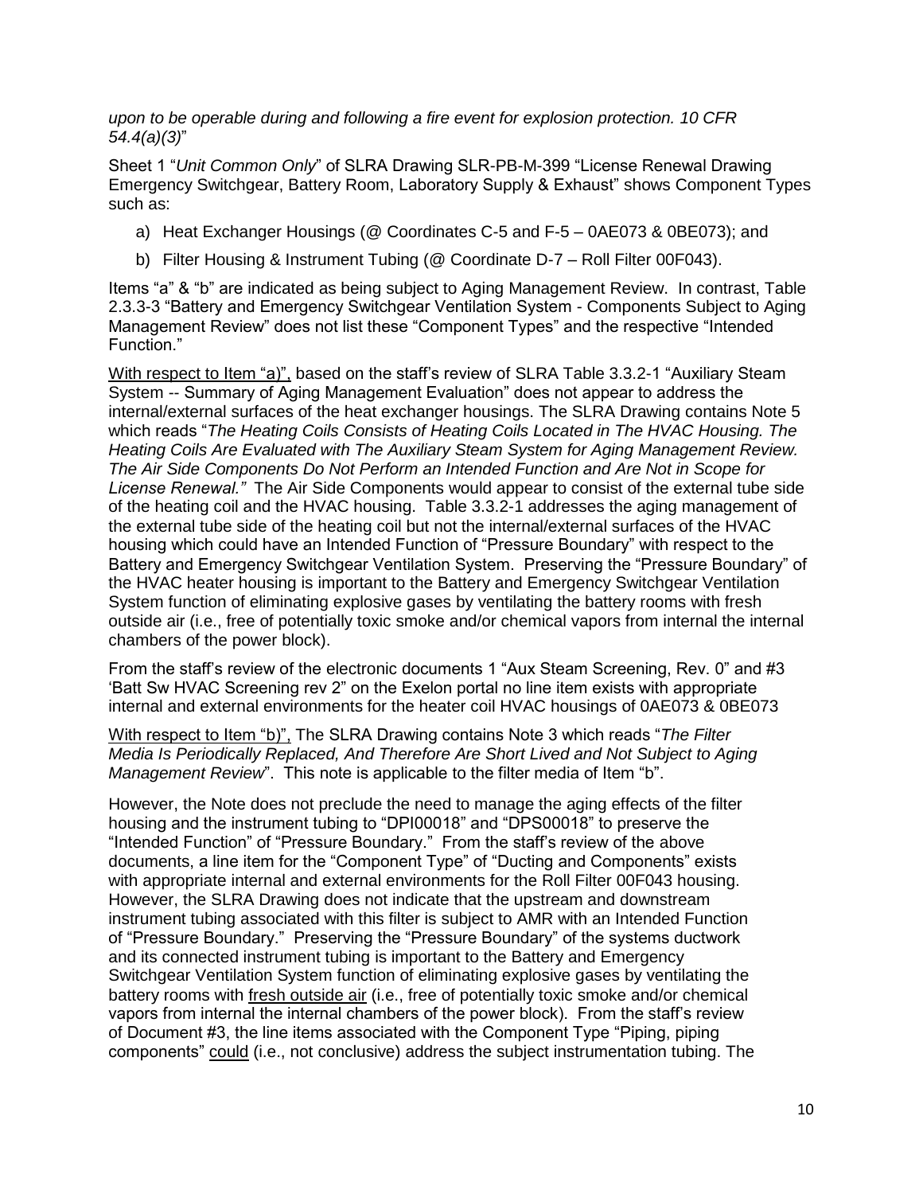*upon to be operable during and following a fire event for explosion protection. 10 CFR 54.4(a)(3)*"

Sheet 1 "*Unit Common Only*" of SLRA Drawing SLR-PB-M-399 "License Renewal Drawing Emergency Switchgear, Battery Room, Laboratory Supply & Exhaust" shows Component Types such as:

- a) Heat Exchanger Housings (@ Coordinates C-5 and F-5 0AE073 & 0BE073); and
- b) Filter Housing & Instrument Tubing (@ Coordinate D-7 Roll Filter 00F043).

Items "a" & "b" are indicated as being subject to Aging Management Review. In contrast, Table 2.3.3-3 "Battery and Emergency Switchgear Ventilation System - Components Subject to Aging Management Review" does not list these "Component Types" and the respective "Intended Function."

With respect to Item "a)", based on the staff's review of SLRA Table 3.3.2-1 "Auxiliary Steam System -- Summary of Aging Management Evaluation" does not appear to address the internal/external surfaces of the heat exchanger housings. The SLRA Drawing contains Note 5 which reads "*The Heating Coils Consists of Heating Coils Located in The HVAC Housing. The Heating Coils Are Evaluated with The Auxiliary Steam System for Aging Management Review. The Air Side Components Do Not Perform an Intended Function and Are Not in Scope for License Renewal."* The Air Side Components would appear to consist of the external tube side of the heating coil and the HVAC housing. Table 3.3.2-1 addresses the aging management of the external tube side of the heating coil but not the internal/external surfaces of the HVAC housing which could have an Intended Function of "Pressure Boundary" with respect to the Battery and Emergency Switchgear Ventilation System. Preserving the "Pressure Boundary" of the HVAC heater housing is important to the Battery and Emergency Switchgear Ventilation System function of eliminating explosive gases by ventilating the battery rooms with fresh outside air (i.e., free of potentially toxic smoke and/or chemical vapors from internal the internal chambers of the power block).

From the staff's review of the electronic documents 1 "Aux Steam Screening, Rev. 0" and #3 'Batt Sw HVAC Screening rev 2" on the Exelon portal no line item exists with appropriate internal and external environments for the heater coil HVAC housings of 0AE073 & 0BE073

With respect to Item "b)", The SLRA Drawing contains Note 3 which reads "*The Filter Media Is Periodically Replaced, And Therefore Are Short Lived and Not Subject to Aging Management Review*". This note is applicable to the filter media of Item "b".

However, the Note does not preclude the need to manage the aging effects of the filter housing and the instrument tubing to "DPI00018" and "DPS00018" to preserve the "Intended Function" of "Pressure Boundary." From the staff's review of the above documents, a line item for the "Component Type" of "Ducting and Components" exists with appropriate internal and external environments for the Roll Filter 00F043 housing. However, the SLRA Drawing does not indicate that the upstream and downstream instrument tubing associated with this filter is subject to AMR with an Intended Function of "Pressure Boundary." Preserving the "Pressure Boundary" of the systems ductwork and its connected instrument tubing is important to the Battery and Emergency Switchgear Ventilation System function of eliminating explosive gases by ventilating the battery rooms with fresh outside air (i.e., free of potentially toxic smoke and/or chemical vapors from internal the internal chambers of the power block). From the staff's review of Document #3, the line items associated with the Component Type "Piping, piping components" could (i.e., not conclusive) address the subject instrumentation tubing. The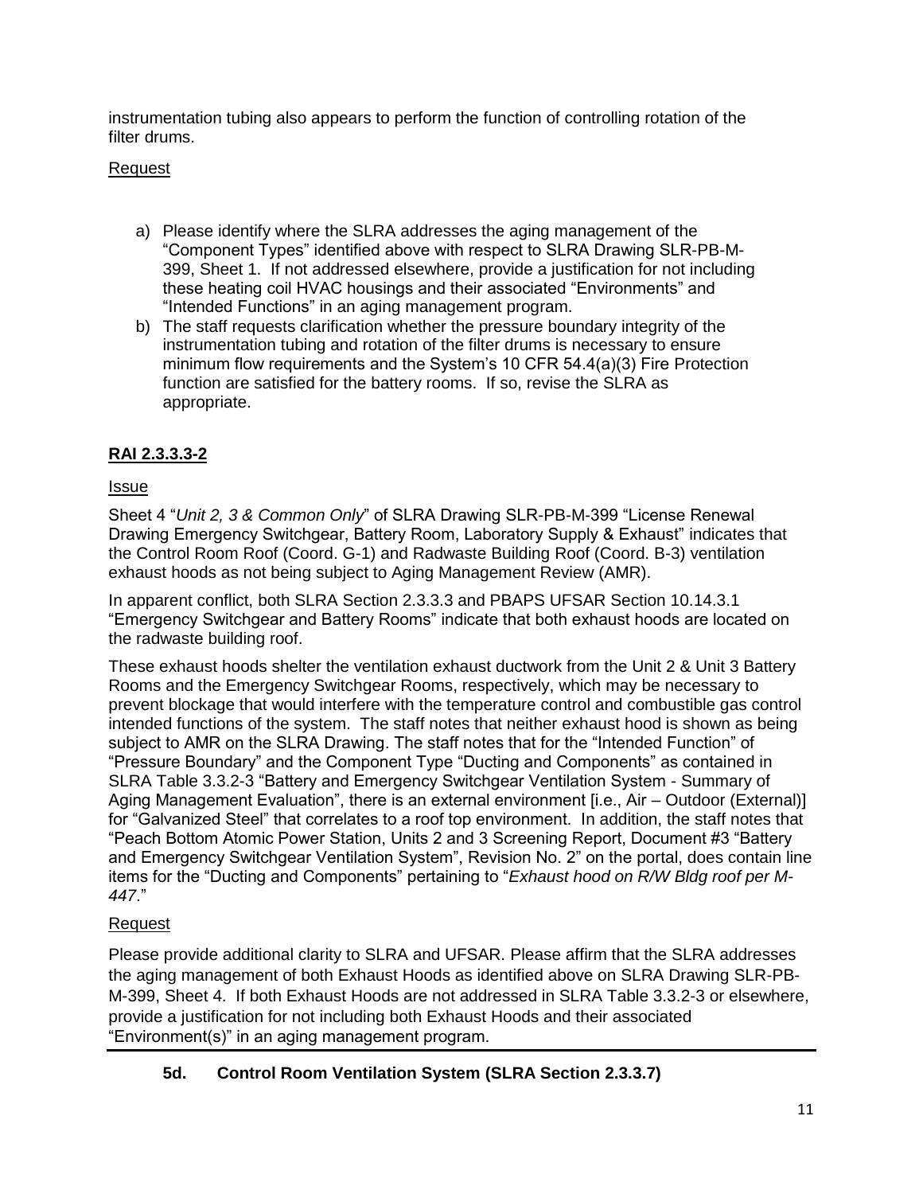instrumentation tubing also appears to perform the function of controlling rotation of the filter drums.

# Request

- a) Please identify where the SLRA addresses the aging management of the "Component Types" identified above with respect to SLRA Drawing SLR-PB-M-399, Sheet 1. If not addressed elsewhere, provide a justification for not including these heating coil HVAC housings and their associated "Environments" and "Intended Functions" in an aging management program.
- b) The staff requests clarification whether the pressure boundary integrity of the instrumentation tubing and rotation of the filter drums is necessary to ensure minimum flow requirements and the System's 10 CFR 54.4(a)(3) Fire Protection function are satisfied for the battery rooms. If so, revise the SLRA as appropriate.

# **RAI 2.3.3.3-2**

# Issue

Sheet 4 "*Unit 2, 3 & Common Only*" of SLRA Drawing SLR-PB-M-399 "License Renewal Drawing Emergency Switchgear, Battery Room, Laboratory Supply & Exhaust" indicates that the Control Room Roof (Coord. G-1) and Radwaste Building Roof (Coord. B-3) ventilation exhaust hoods as not being subject to Aging Management Review (AMR).

In apparent conflict, both SLRA Section 2.3.3.3 and PBAPS UFSAR Section 10.14.3.1 "Emergency Switchgear and Battery Rooms" indicate that both exhaust hoods are located on the radwaste building roof.

These exhaust hoods shelter the ventilation exhaust ductwork from the Unit 2 & Unit 3 Battery Rooms and the Emergency Switchgear Rooms, respectively, which may be necessary to prevent blockage that would interfere with the temperature control and combustible gas control intended functions of the system. The staff notes that neither exhaust hood is shown as being subject to AMR on the SLRA Drawing. The staff notes that for the "Intended Function" of "Pressure Boundary" and the Component Type "Ducting and Components" as contained in SLRA Table 3.3.2-3 "Battery and Emergency Switchgear Ventilation System - Summary of Aging Management Evaluation", there is an external environment [i.e., Air – Outdoor (External)] for "Galvanized Steel" that correlates to a roof top environment. In addition, the staff notes that "Peach Bottom Atomic Power Station, Units 2 and 3 Screening Report, Document #3 "Battery and Emergency Switchgear Ventilation System", Revision No. 2" on the portal, does contain line items for the "Ducting and Components" pertaining to "*Exhaust hood on R/W Bldg roof per M-447*."

## Request

Please provide additional clarity to SLRA and UFSAR. Please affirm that the SLRA addresses the aging management of both Exhaust Hoods as identified above on SLRA Drawing SLR-PB-M-399, Sheet 4. If both Exhaust Hoods are not addressed in SLRA Table 3.3.2-3 or elsewhere, provide a justification for not including both Exhaust Hoods and their associated "Environment(s)" in an aging management program.

**5d. Control Room Ventilation System (SLRA Section 2.3.3.7)**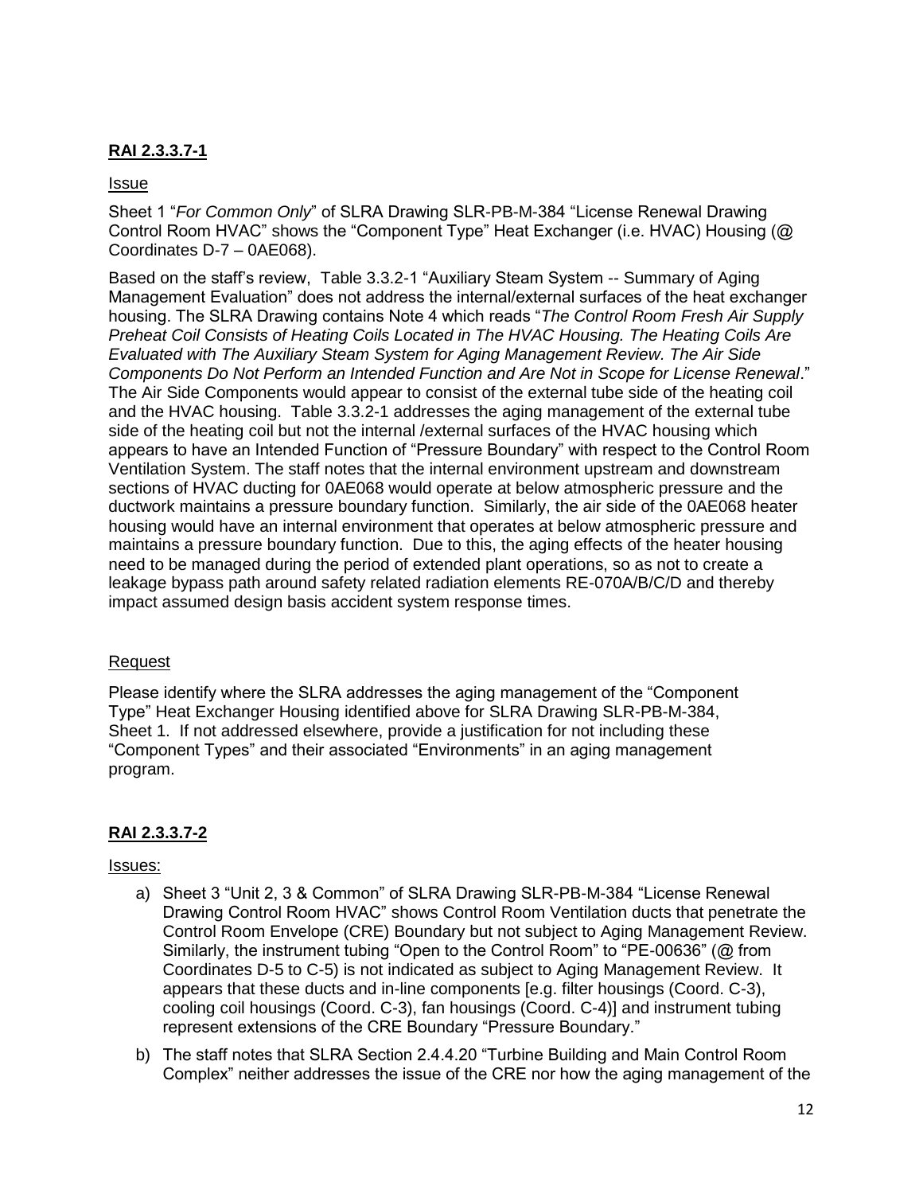## **RAI 2.3.3.7-1**

### Issue

Sheet 1 "*For Common Only*" of SLRA Drawing SLR-PB-M-384 "License Renewal Drawing Control Room HVAC" shows the "Component Type" Heat Exchanger (i.e. HVAC) Housing (@ Coordinates D-7 – 0AE068).

Based on the staff's review, Table 3.3.2-1 "Auxiliary Steam System -- Summary of Aging Management Evaluation" does not address the internal/external surfaces of the heat exchanger housing. The SLRA Drawing contains Note 4 which reads "*The Control Room Fresh Air Supply Preheat Coil Consists of Heating Coils Located in The HVAC Housing. The Heating Coils Are Evaluated with The Auxiliary Steam System for Aging Management Review. The Air Side Components Do Not Perform an Intended Function and Are Not in Scope for License Renewal*." The Air Side Components would appear to consist of the external tube side of the heating coil and the HVAC housing. Table 3.3.2-1 addresses the aging management of the external tube side of the heating coil but not the internal /external surfaces of the HVAC housing which appears to have an Intended Function of "Pressure Boundary" with respect to the Control Room Ventilation System. The staff notes that the internal environment upstream and downstream sections of HVAC ducting for 0AE068 would operate at below atmospheric pressure and the ductwork maintains a pressure boundary function. Similarly, the air side of the 0AE068 heater housing would have an internal environment that operates at below atmospheric pressure and maintains a pressure boundary function. Due to this, the aging effects of the heater housing need to be managed during the period of extended plant operations, so as not to create a leakage bypass path around safety related radiation elements RE-070A/B/C/D and thereby impact assumed design basis accident system response times.

### Request

Please identify where the SLRA addresses the aging management of the "Component Type" Heat Exchanger Housing identified above for SLRA Drawing SLR-PB-M-384, Sheet 1. If not addressed elsewhere, provide a justification for not including these "Component Types" and their associated "Environments" in an aging management program.

## **RAI 2.3.3.7-2**

### Issues:

- a) Sheet 3 "Unit 2, 3 & Common" of SLRA Drawing SLR-PB-M-384 "License Renewal Drawing Control Room HVAC" shows Control Room Ventilation ducts that penetrate the Control Room Envelope (CRE) Boundary but not subject to Aging Management Review. Similarly, the instrument tubing "Open to the Control Room" to "PE-00636" (@ from Coordinates D-5 to C-5) is not indicated as subject to Aging Management Review. It appears that these ducts and in-line components [e.g. filter housings (Coord. C-3), cooling coil housings (Coord. C-3), fan housings (Coord. C-4)] and instrument tubing represent extensions of the CRE Boundary "Pressure Boundary."
- b) The staff notes that SLRA Section 2.4.4.20 "Turbine Building and Main Control Room Complex" neither addresses the issue of the CRE nor how the aging management of the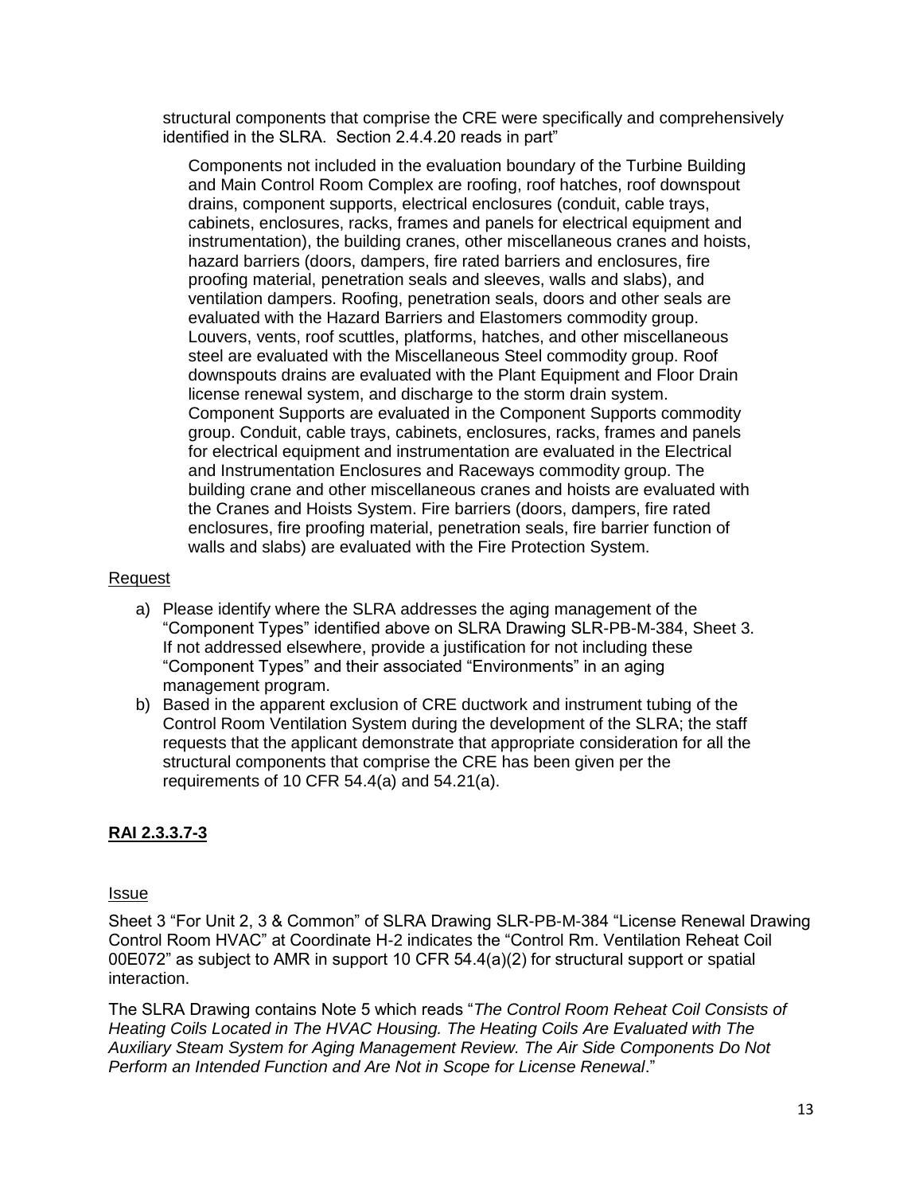structural components that comprise the CRE were specifically and comprehensively identified in the SLRA. Section 2.4.4.20 reads in part"

Components not included in the evaluation boundary of the Turbine Building and Main Control Room Complex are roofing, roof hatches, roof downspout drains, component supports, electrical enclosures (conduit, cable trays, cabinets, enclosures, racks, frames and panels for electrical equipment and instrumentation), the building cranes, other miscellaneous cranes and hoists, hazard barriers (doors, dampers, fire rated barriers and enclosures, fire proofing material, penetration seals and sleeves, walls and slabs), and ventilation dampers. Roofing, penetration seals, doors and other seals are evaluated with the Hazard Barriers and Elastomers commodity group. Louvers, vents, roof scuttles, platforms, hatches, and other miscellaneous steel are evaluated with the Miscellaneous Steel commodity group. Roof downspouts drains are evaluated with the Plant Equipment and Floor Drain license renewal system, and discharge to the storm drain system. Component Supports are evaluated in the Component Supports commodity group. Conduit, cable trays, cabinets, enclosures, racks, frames and panels for electrical equipment and instrumentation are evaluated in the Electrical and Instrumentation Enclosures and Raceways commodity group. The building crane and other miscellaneous cranes and hoists are evaluated with the Cranes and Hoists System. Fire barriers (doors, dampers, fire rated enclosures, fire proofing material, penetration seals, fire barrier function of walls and slabs) are evaluated with the Fire Protection System.

### Request

- a) Please identify where the SLRA addresses the aging management of the "Component Types" identified above on SLRA Drawing SLR-PB-M-384, Sheet 3. If not addressed elsewhere, provide a justification for not including these "Component Types" and their associated "Environments" in an aging management program.
- b) Based in the apparent exclusion of CRE ductwork and instrument tubing of the Control Room Ventilation System during the development of the SLRA; the staff requests that the applicant demonstrate that appropriate consideration for all the structural components that comprise the CRE has been given per the requirements of 10 CFR 54.4(a) and 54.21(a).

## **RAI 2.3.3.7-3**

#### Issue

Sheet 3 "For Unit 2, 3 & Common" of SLRA Drawing SLR-PB-M-384 "License Renewal Drawing Control Room HVAC" at Coordinate H-2 indicates the "Control Rm. Ventilation Reheat Coil 00E072" as subject to AMR in support 10 CFR 54.4(a)(2) for structural support or spatial interaction.

The SLRA Drawing contains Note 5 which reads "*The Control Room Reheat Coil Consists of Heating Coils Located in The HVAC Housing. The Heating Coils Are Evaluated with The Auxiliary Steam System for Aging Management Review. The Air Side Components Do Not Perform an Intended Function and Are Not in Scope for License Renewal*."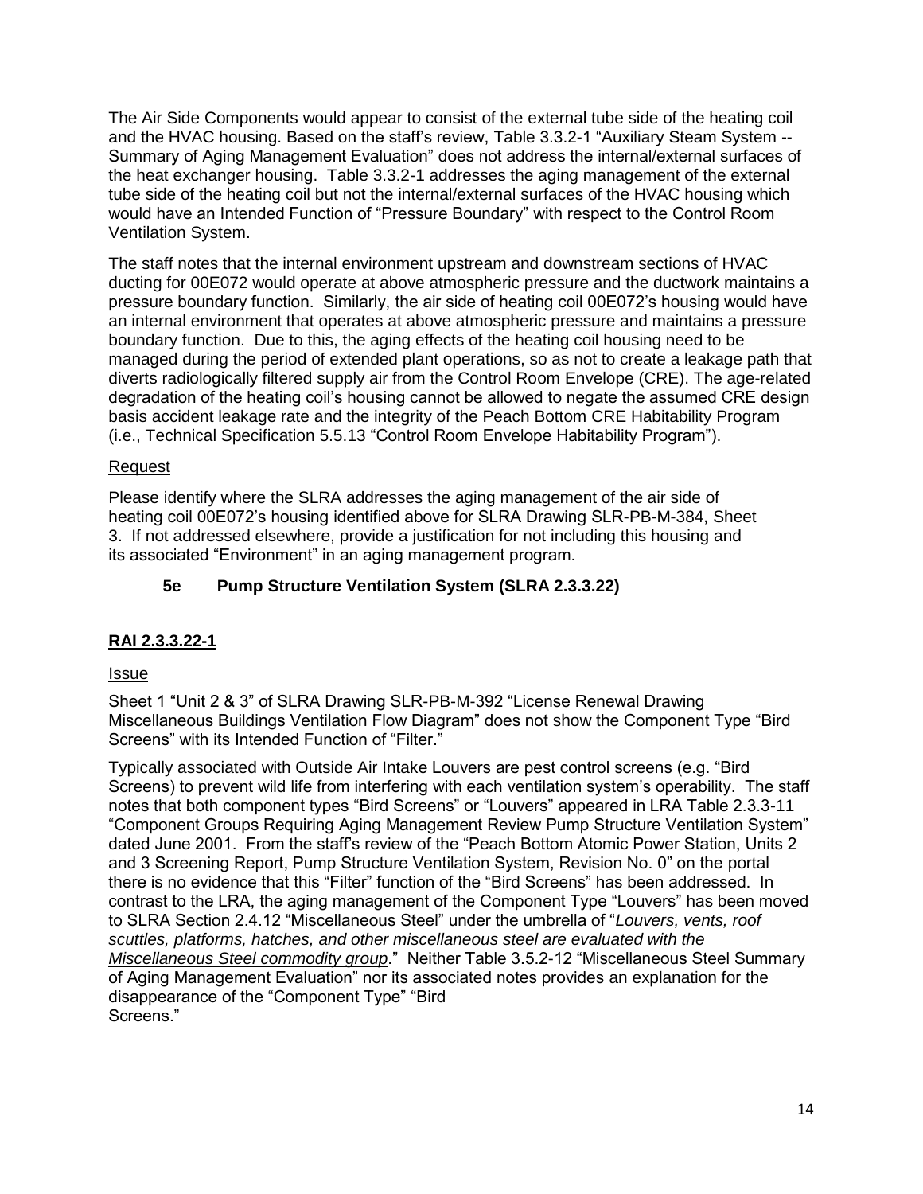The Air Side Components would appear to consist of the external tube side of the heating coil and the HVAC housing. Based on the staff's review, Table 3.3.2-1 "Auxiliary Steam System -- Summary of Aging Management Evaluation" does not address the internal/external surfaces of the heat exchanger housing. Table 3.3.2-1 addresses the aging management of the external tube side of the heating coil but not the internal/external surfaces of the HVAC housing which would have an Intended Function of "Pressure Boundary" with respect to the Control Room Ventilation System.

The staff notes that the internal environment upstream and downstream sections of HVAC ducting for 00E072 would operate at above atmospheric pressure and the ductwork maintains a pressure boundary function. Similarly, the air side of heating coil 00E072's housing would have an internal environment that operates at above atmospheric pressure and maintains a pressure boundary function. Due to this, the aging effects of the heating coil housing need to be managed during the period of extended plant operations, so as not to create a leakage path that diverts radiologically filtered supply air from the Control Room Envelope (CRE). The age-related degradation of the heating coil's housing cannot be allowed to negate the assumed CRE design basis accident leakage rate and the integrity of the Peach Bottom CRE Habitability Program (i.e., Technical Specification 5.5.13 "Control Room Envelope Habitability Program").

## Request

Please identify where the SLRA addresses the aging management of the air side of heating coil 00E072's housing identified above for SLRA Drawing SLR-PB-M-384, Sheet 3. If not addressed elsewhere, provide a justification for not including this housing and its associated "Environment" in an aging management program.

## **5e Pump Structure Ventilation System (SLRA 2.3.3.22)**

## **RAI 2.3.3.22-1**

### Issue

Sheet 1 "Unit 2 & 3" of SLRA Drawing SLR-PB-M-392 "License Renewal Drawing Miscellaneous Buildings Ventilation Flow Diagram" does not show the Component Type "Bird Screens" with its Intended Function of "Filter."

Typically associated with Outside Air Intake Louvers are pest control screens (e.g. "Bird Screens) to prevent wild life from interfering with each ventilation system's operability. The staff notes that both component types "Bird Screens" or "Louvers" appeared in LRA Table 2.3.3-11 "Component Groups Requiring Aging Management Review Pump Structure Ventilation System" dated June 2001. From the staff's review of the "Peach Bottom Atomic Power Station, Units 2 and 3 Screening Report, Pump Structure Ventilation System, Revision No. 0" on the portal there is no evidence that this "Filter" function of the "Bird Screens" has been addressed. In contrast to the LRA, the aging management of the Component Type "Louvers" has been moved to SLRA Section 2.4.12 "Miscellaneous Steel" under the umbrella of "*Louvers, vents, roof scuttles, platforms, hatches, and other miscellaneous steel are evaluated with the Miscellaneous Steel commodity group*." Neither Table 3.5.2-12 "Miscellaneous Steel Summary of Aging Management Evaluation" nor its associated notes provides an explanation for the disappearance of the "Component Type" "Bird Screens."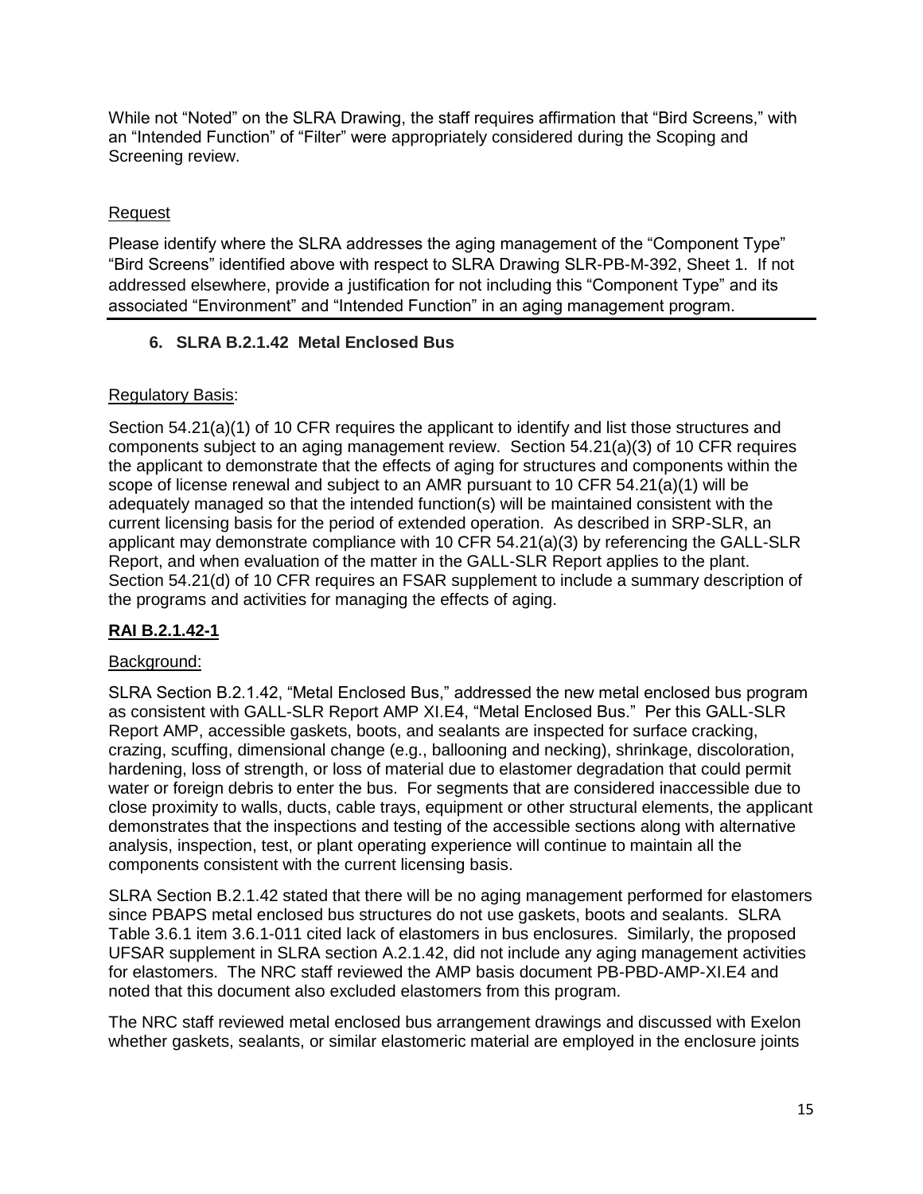While not "Noted" on the SLRA Drawing, the staff requires affirmation that "Bird Screens," with an "Intended Function" of "Filter" were appropriately considered during the Scoping and Screening review.

## Request

Please identify where the SLRA addresses the aging management of the "Component Type" "Bird Screens" identified above with respect to SLRA Drawing SLR-PB-M-392, Sheet 1. If not addressed elsewhere, provide a justification for not including this "Component Type" and its associated "Environment" and "Intended Function" in an aging management program.

# **6. SLRA B.2.1.42 Metal Enclosed Bus**

## Regulatory Basis:

Section 54.21(a)(1) of 10 CFR requires the applicant to identify and list those structures and components subject to an aging management review. Section 54.21(a)(3) of 10 CFR requires the applicant to demonstrate that the effects of aging for structures and components within the scope of license renewal and subject to an AMR pursuant to 10 CFR 54.21(a)(1) will be adequately managed so that the intended function(s) will be maintained consistent with the current licensing basis for the period of extended operation. As described in SRP-SLR, an applicant may demonstrate compliance with 10 CFR 54.21(a)(3) by referencing the GALL-SLR Report, and when evaluation of the matter in the GALL-SLR Report applies to the plant. Section 54.21(d) of 10 CFR requires an FSAR supplement to include a summary description of the programs and activities for managing the effects of aging.

# **RAI B.2.1.42-1**

## Background:

SLRA Section B.2.1.42, "Metal Enclosed Bus," addressed the new metal enclosed bus program as consistent with GALL-SLR Report AMP XI.E4, "Metal Enclosed Bus." Per this GALL-SLR Report AMP, accessible gaskets, boots, and sealants are inspected for surface cracking, crazing, scuffing, dimensional change (e.g., ballooning and necking), shrinkage, discoloration, hardening, loss of strength, or loss of material due to elastomer degradation that could permit water or foreign debris to enter the bus. For segments that are considered inaccessible due to close proximity to walls, ducts, cable trays, equipment or other structural elements, the applicant demonstrates that the inspections and testing of the accessible sections along with alternative analysis, inspection, test, or plant operating experience will continue to maintain all the components consistent with the current licensing basis.

SLRA Section B.2.1.42 stated that there will be no aging management performed for elastomers since PBAPS metal enclosed bus structures do not use gaskets, boots and sealants. SLRA Table 3.6.1 item 3.6.1-011 cited lack of elastomers in bus enclosures. Similarly, the proposed UFSAR supplement in SLRA section A.2.1.42, did not include any aging management activities for elastomers. The NRC staff reviewed the AMP basis document PB-PBD-AMP-XI.E4 and noted that this document also excluded elastomers from this program.

The NRC staff reviewed metal enclosed bus arrangement drawings and discussed with Exelon whether gaskets, sealants, or similar elastomeric material are employed in the enclosure joints